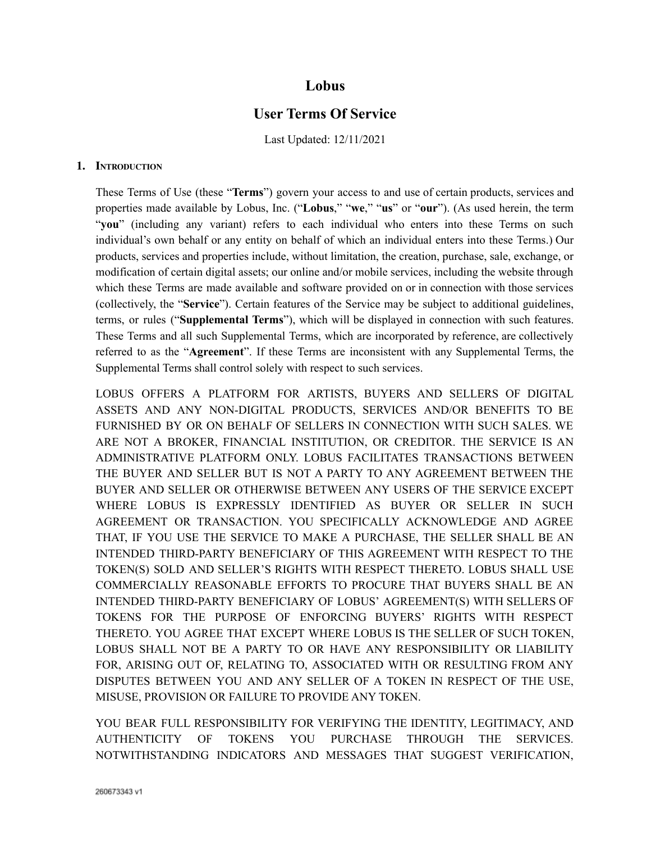# **Lobus**

# **User Terms Of Service**

Last Updated: 12/11/2021

#### **1. INTRODUCTION**

These Terms of Use (these "**Terms**") govern your access to and use of certain products, services and properties made available by Lobus, Inc. ("**Lobus**," "**we**," "**us**" or "**our**"). (As used herein, the term "**you**" (including any variant) refers to each individual who enters into these Terms on such individual's own behalf or any entity on behalf of which an individual enters into these Terms.) Our products, services and properties include, without limitation, the creation, purchase, sale, exchange, or modification of certain digital assets; our online and/or mobile services, including the website through which these Terms are made available and software provided on or in connection with those services (collectively, the "**Service**"). Certain features of the Service may be subject to additional guidelines, terms, or rules ("**Supplemental Terms**"), which will be displayed in connection with such features. These Terms and all such Supplemental Terms, which are incorporated by reference, are collectively referred to as the "**Agreement**". If these Terms are inconsistent with any Supplemental Terms, the Supplemental Terms shall control solely with respect to such services.

LOBUS OFFERS A PLATFORM FOR ARTISTS, BUYERS AND SELLERS OF DIGITAL ASSETS AND ANY NON-DIGITAL PRODUCTS, SERVICES AND/OR BENEFITS TO BE FURNISHED BY OR ON BEHALF OF SELLERS IN CONNECTION WITH SUCH SALES. WE ARE NOT A BROKER, FINANCIAL INSTITUTION, OR CREDITOR. THE SERVICE IS AN ADMINISTRATIVE PLATFORM ONLY. LOBUS FACILITATES TRANSACTIONS BETWEEN THE BUYER AND SELLER BUT IS NOT A PARTY TO ANY AGREEMENT BETWEEN THE BUYER AND SELLER OR OTHERWISE BETWEEN ANY USERS OF THE SERVICE EXCEPT WHERE LOBUS IS EXPRESSLY IDENTIFIED AS BUYER OR SELLER IN SUCH AGREEMENT OR TRANSACTION. YOU SPECIFICALLY ACKNOWLEDGE AND AGREE THAT, IF YOU USE THE SERVICE TO MAKE A PURCHASE, THE SELLER SHALL BE AN INTENDED THIRD-PARTY BENEFICIARY OF THIS AGREEMENT WITH RESPECT TO THE TOKEN(S) SOLD AND SELLER'S RIGHTS WITH RESPECT THERETO. LOBUS SHALL USE COMMERCIALLY REASONABLE EFFORTS TO PROCURE THAT BUYERS SHALL BE AN INTENDED THIRD-PARTY BENEFICIARY OF LOBUS' AGREEMENT(S) WITH SELLERS OF TOKENS FOR THE PURPOSE OF ENFORCING BUYERS' RIGHTS WITH RESPECT THERETO. YOU AGREE THAT EXCEPT WHERE LOBUS IS THE SELLER OF SUCH TOKEN, LOBUS SHALL NOT BE A PARTY TO OR HAVE ANY RESPONSIBILITY OR LIABILITY FOR, ARISING OUT OF, RELATING TO, ASSOCIATED WITH OR RESULTING FROM ANY DISPUTES BETWEEN YOU AND ANY SELLER OF A TOKEN IN RESPECT OF THE USE, MISUSE, PROVISION OR FAILURE TO PROVIDE ANY TOKEN.

YOU BEAR FULL RESPONSIBILITY FOR VERIFYING THE IDENTITY, LEGITIMACY, AND AUTHENTICITY OF TOKENS YOU PURCHASE THROUGH THE SERVICES. NOTWITHSTANDING INDICATORS AND MESSAGES THAT SUGGEST VERIFICATION,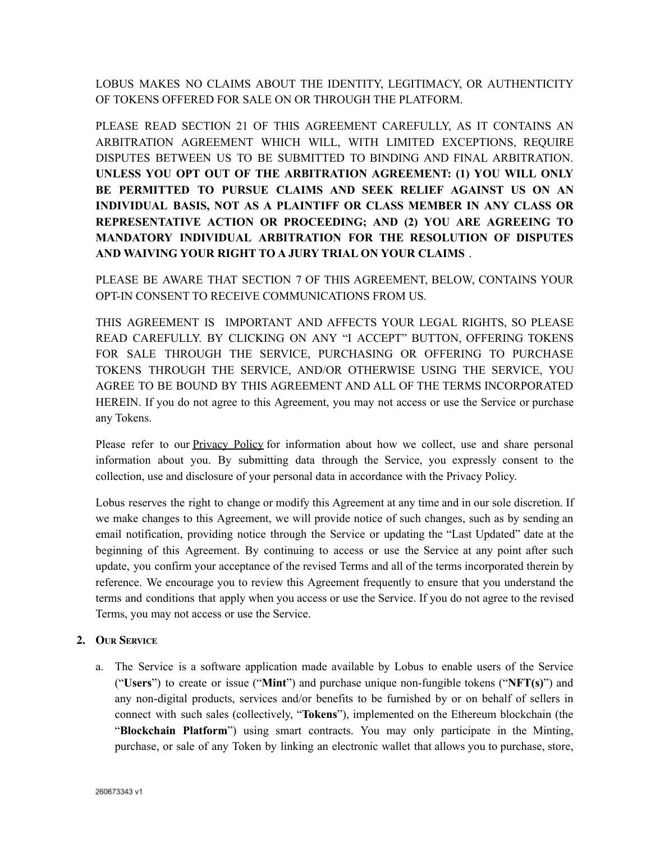LOBUS MAKES NO CLAIMS ABOUT THE IDENTITY, LEGITIMACY, OR AUTHENTICITY OF TOKENS OFFERED FOR SALE ON OR THROUGH THE PLATFORM.

PLEASE READ SECTION 21 OF THIS AGREEMENT CAREFULLY, AS IT CONTAINS AN ARBITRATION AGREEMENT WHICH WILL, WITH LIMITED EXCEPTIONS, REQUIRE DISPUTES BETWEEN US TO BE SUBMITTED TO BINDING AND FINAL ARBITRATION. **UNLESS YOU OPT OUT OF THE ARBITRATION AGREEMENT: (1) YOU WILL ONLY BE PERMITTED TO PURSUE CLAIMS AND SEEK RELIEF AGAINST US ON AN INDIVIDUAL BASIS, NOT AS A PLAINTIFF OR CLASS MEMBER IN ANY CLASS OR REPRESENTATIVE ACTION OR PROCEEDING; AND (2) YOU ARE AGREEING TO MANDATORY INDIVIDUAL ARBITRATION FOR THE RESOLUTION OF DISPUTES AND WAIVING YOUR RIGHT TO A JURY TRIAL ON YOUR CLAIMS** .

PLEASE BE AWARE THAT SECTION 7 OF THIS AGREEMENT, BELOW, CONTAINS YOUR OPT-IN CONSENT TO RECEIVE COMMUNICATIONS FROM US.

THIS AGREEMENT IS IMPORTANT AND AFFECTS YOUR LEGAL RIGHTS, SO PLEASE READ CAREFULLY. BY CLICKING ON ANY "I ACCEPT" BUTTON, OFFERING TOKENS FOR SALE THROUGH THE SERVICE, PURCHASING OR OFFERING TO PURCHASE TOKENS THROUGH THE SERVICE, AND/OR OTHERWISE USING THE SERVICE, YOU AGREE TO BE BOUND BY THIS AGREEMENT AND ALL OF THE TERMS INCORPORATED HEREIN. If you do not agree to this Agreement, you may not access or use the Service or purchase any Tokens.

Please refer to our **Privacy Policy** for information about how we collect, use and share personal information about you. By submitting data through the Service, you expressly consent to the collection, use and disclosure of your personal data in accordance with the Privacy Policy.

Lobus reserves the right to change or modify this Agreement at any time and in our sole discretion. If we make changes to this Agreement, we will provide notice of such changes, such as by sending an email notification, providing notice through the Service or updating the "Last Updated" date at the beginning of this Agreement. By continuing to access or use the Service at any point after such update, you confirm your acceptance of the revised Terms and all of the terms incorporated therein by reference. We encourage you to review this Agreement frequently to ensure that you understand the terms and conditions that apply when you access or use the Service. If you do not agree to the revised Terms, you may not access or use the Service.

# **2. OUR SERVICE**

a. The Service is a software application made available by Lobus to enable users of the Service ("**Users**") to create or issue ("**Mint**") and purchase unique non-fungible tokens ("**NFT(s)**") and any non-digital products, services and/or benefits to be furnished by or on behalf of sellers in connect with such sales (collectively, "**Tokens**"), implemented on the Ethereum blockchain (the "**Blockchain Platform**") using smart contracts. You may only participate in the Minting, purchase, or sale of any Token by linking an electronic wallet that allows you to purchase, store,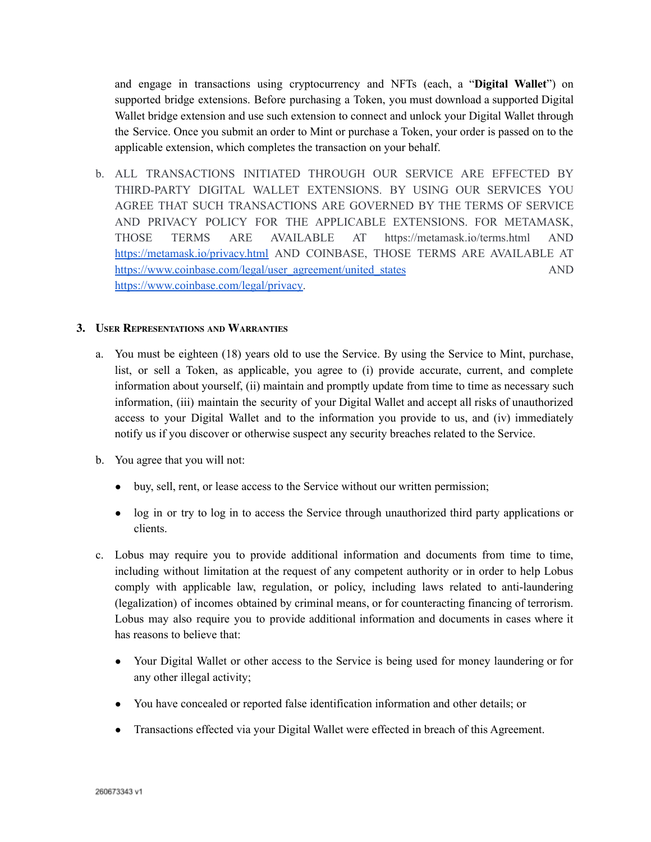and engage in transactions using cryptocurrency and NFTs (each, a "**Digital Wallet**") on supported bridge extensions. Before purchasing a Token, you must download a supported Digital Wallet bridge extension and use such extension to connect and unlock your Digital Wallet through the Service. Once you submit an order to Mint or purchase a Token, your order is passed on to the applicable extension, which completes the transaction on your behalf.

b. ALL TRANSACTIONS INITIATED THROUGH OUR SERVICE ARE EFFECTED BY THIRD-PARTY DIGITAL WALLET EXTENSIONS. BY USING OUR SERVICES YOU AGREE THAT SUCH TRANSACTIONS ARE GOVERNED BY THE TERMS OF SERVICE AND PRIVACY POLICY FOR THE APPLICABLE EXTENSIONS. FOR METAMASK, THOSE TERMS ARE AVAILABLE AT https://metamask.io/terms.html AND <https://metamask.io/privacy.html> AND COINBASE, THOSE TERMS ARE AVAILABLE AT [https://www.coinbase.com/legal/user\\_agreement/united\\_states](https://www.coinbase.com/legal/user_agreement/united_states) AND [https://www.coinbase.com/legal/privacy.](https://www.coinbase.com/legal/privacy)

#### **3. USER REPRESENTATIONS AND WARRANTIES**

- a. You must be eighteen (18) years old to use the Service. By using the Service to Mint, purchase, list, or sell a Token, as applicable, you agree to (i) provide accurate, current, and complete information about yourself, (ii) maintain and promptly update from time to time as necessary such information, (iii) maintain the security of your Digital Wallet and accept all risks of unauthorized access to your Digital Wallet and to the information you provide to us, and (iv) immediately notify us if you discover or otherwise suspect any security breaches related to the Service.
- b. You agree that you will not:
	- buy, sell, rent, or lease access to the Service without our written permission;
	- log in or try to log in to access the Service through unauthorized third party applications or clients.
- c. Lobus may require you to provide additional information and documents from time to time, including without limitation at the request of any competent authority or in order to help Lobus comply with applicable law, regulation, or policy, including laws related to anti-laundering (legalization) of incomes obtained by criminal means, or for counteracting financing of terrorism. Lobus may also require you to provide additional information and documents in cases where it has reasons to believe that:
	- Your Digital Wallet or other access to the Service is being used for money laundering or for any other illegal activity;
	- You have concealed or reported false identification information and other details; or
	- Transactions effected via your Digital Wallet were effected in breach of this Agreement.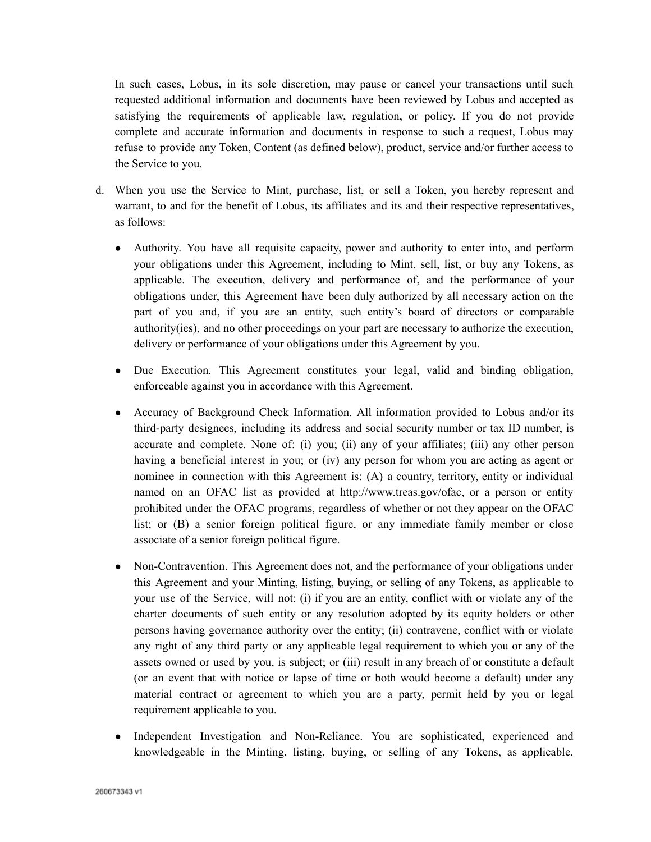In such cases, Lobus, in its sole discretion, may pause or cancel your transactions until such requested additional information and documents have been reviewed by Lobus and accepted as satisfying the requirements of applicable law, regulation, or policy. If you do not provide complete and accurate information and documents in response to such a request, Lobus may refuse to provide any Token, Content (as defined below), product, service and/or further access to the Service to you.

- d. When you use the Service to Mint, purchase, list, or sell a Token, you hereby represent and warrant, to and for the benefit of Lobus, its affiliates and its and their respective representatives, as follows:
	- Authority. You have all requisite capacity, power and authority to enter into, and perform your obligations under this Agreement, including to Mint, sell, list, or buy any Tokens, as applicable. The execution, delivery and performance of, and the performance of your obligations under, this Agreement have been duly authorized by all necessary action on the part of you and, if you are an entity, such entity's board of directors or comparable authority(ies), and no other proceedings on your part are necessary to authorize the execution, delivery or performance of your obligations under this Agreement by you.
	- Due Execution. This Agreement constitutes your legal, valid and binding obligation, enforceable against you in accordance with this Agreement.
	- Accuracy of Background Check Information. All information provided to Lobus and/or its third-party designees, including its address and social security number or tax ID number, is accurate and complete. None of: (i) you; (ii) any of your affiliates; (iii) any other person having a beneficial interest in you; or (iv) any person for whom you are acting as agent or nominee in connection with this Agreement is: (A) a country, territory, entity or individual named on an OFAC list as provided at http://www.treas.gov/ofac, or a person or entity prohibited under the OFAC programs, regardless of whether or not they appear on the OFAC list; or (B) a senior foreign political figure, or any immediate family member or close associate of a senior foreign political figure.
	- Non-Contravention. This Agreement does not, and the performance of your obligations under this Agreement and your Minting, listing, buying, or selling of any Tokens, as applicable to your use of the Service, will not: (i) if you are an entity, conflict with or violate any of the charter documents of such entity or any resolution adopted by its equity holders or other persons having governance authority over the entity; (ii) contravene, conflict with or violate any right of any third party or any applicable legal requirement to which you or any of the assets owned or used by you, is subject; or (iii) result in any breach of or constitute a default (or an event that with notice or lapse of time or both would become a default) under any material contract or agreement to which you are a party, permit held by you or legal requirement applicable to you.
	- Independent Investigation and Non-Reliance. You are sophisticated, experienced and knowledgeable in the Minting, listing, buying, or selling of any Tokens, as applicable.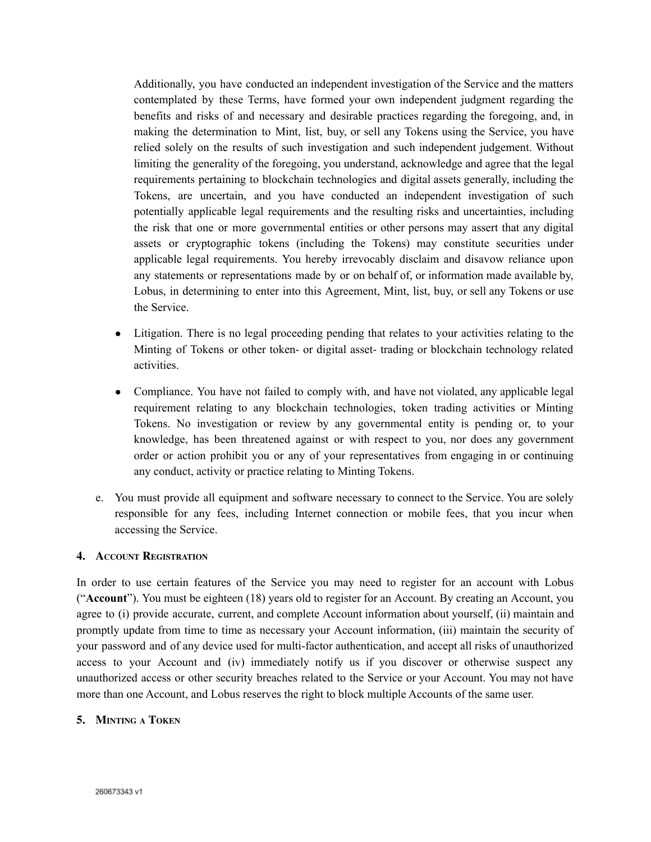Additionally, you have conducted an independent investigation of the Service and the matters contemplated by these Terms, have formed your own independent judgment regarding the benefits and risks of and necessary and desirable practices regarding the foregoing, and, in making the determination to Mint, list, buy, or sell any Tokens using the Service, you have relied solely on the results of such investigation and such independent judgement. Without limiting the generality of the foregoing, you understand, acknowledge and agree that the legal requirements pertaining to blockchain technologies and digital assets generally, including the Tokens, are uncertain, and you have conducted an independent investigation of such potentially applicable legal requirements and the resulting risks and uncertainties, including the risk that one or more governmental entities or other persons may assert that any digital assets or cryptographic tokens (including the Tokens) may constitute securities under applicable legal requirements. You hereby irrevocably disclaim and disavow reliance upon any statements or representations made by or on behalf of, or information made available by, Lobus, in determining to enter into this Agreement, Mint, list, buy, or sell any Tokens or use the Service.

- Litigation. There is no legal proceeding pending that relates to your activities relating to the Minting of Tokens or other token- or digital asset- trading or blockchain technology related activities.
- Compliance. You have not failed to comply with, and have not violated, any applicable legal requirement relating to any blockchain technologies, token trading activities or Minting Tokens. No investigation or review by any governmental entity is pending or, to your knowledge, has been threatened against or with respect to you, nor does any government order or action prohibit you or any of your representatives from engaging in or continuing any conduct, activity or practice relating to Minting Tokens.
- e. You must provide all equipment and software necessary to connect to the Service. You are solely responsible for any fees, including Internet connection or mobile fees, that you incur when accessing the Service.

#### **4. ACCOUNT REGISTRATION**

In order to use certain features of the Service you may need to register for an account with Lobus ("**Account**"). You must be eighteen (18) years old to register for an Account. By creating an Account, you agree to (i) provide accurate, current, and complete Account information about yourself, (ii) maintain and promptly update from time to time as necessary your Account information, (iii) maintain the security of your password and of any device used for multi-factor authentication, and accept all risks of unauthorized access to your Account and (iv) immediately notify us if you discover or otherwise suspect any unauthorized access or other security breaches related to the Service or your Account. You may not have more than one Account, and Lobus reserves the right to block multiple Accounts of the same user.

#### **5. MINTING A TOKEN**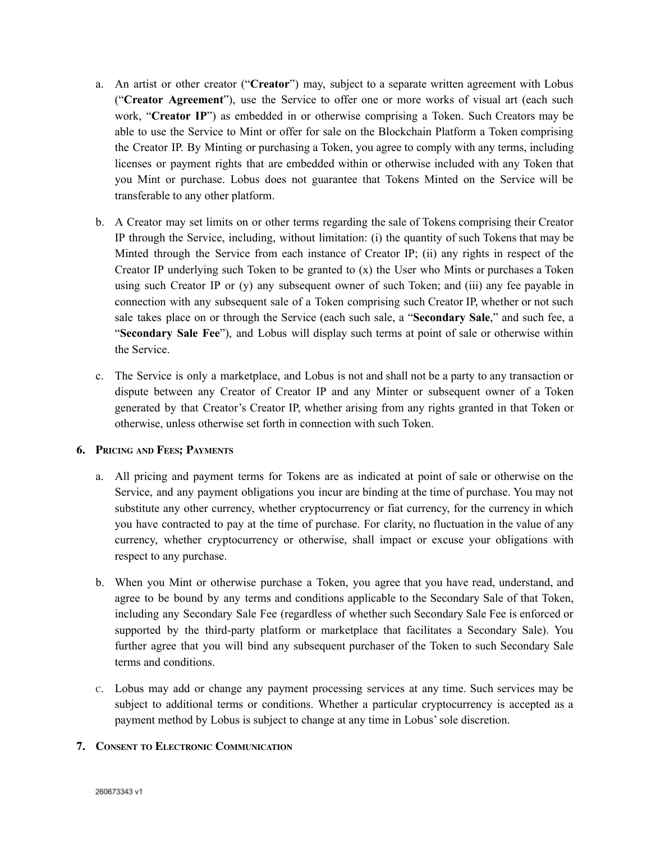- a. An artist or other creator ("**Creator**") may, subject to a separate written agreement with Lobus ("**Creator Agreement**"), use the Service to offer one or more works of visual art (each such work, "**Creator IP**") as embedded in or otherwise comprising a Token. Such Creators may be able to use the Service to Mint or offer for sale on the Blockchain Platform a Token comprising the Creator IP. By Minting or purchasing a Token, you agree to comply with any terms, including licenses or payment rights that are embedded within or otherwise included with any Token that you Mint or purchase. Lobus does not guarantee that Tokens Minted on the Service will be transferable to any other platform.
- b. A Creator may set limits on or other terms regarding the sale of Tokens comprising their Creator IP through the Service, including, without limitation: (i) the quantity of such Tokens that may be Minted through the Service from each instance of Creator IP; (ii) any rights in respect of the Creator IP underlying such Token to be granted to (x) the User who Mints or purchases a Token using such Creator IP or (y) any subsequent owner of such Token; and (iii) any fee payable in connection with any subsequent sale of a Token comprising such Creator IP, whether or not such sale takes place on or through the Service (each such sale, a "**Secondary Sale**," and such fee, a "**Secondary Sale Fee**"), and Lobus will display such terms at point of sale or otherwise within the Service.
- c. The Service is only a marketplace, and Lobus is not and shall not be a party to any transaction or dispute between any Creator of Creator IP and any Minter or subsequent owner of a Token generated by that Creator's Creator IP, whether arising from any rights granted in that Token or otherwise, unless otherwise set forth in connection with such Token.

# **6. PRICING AND FEES; PAYMENTS**

- a. All pricing and payment terms for Tokens are as indicated at point of sale or otherwise on the Service, and any payment obligations you incur are binding at the time of purchase. You may not substitute any other currency, whether cryptocurrency or fiat currency, for the currency in which you have contracted to pay at the time of purchase. For clarity, no fluctuation in the value of any currency, whether cryptocurrency or otherwise, shall impact or excuse your obligations with respect to any purchase.
- b. When you Mint or otherwise purchase a Token, you agree that you have read, understand, and agree to be bound by any terms and conditions applicable to the Secondary Sale of that Token, including any Secondary Sale Fee (regardless of whether such Secondary Sale Fee is enforced or supported by the third-party platform or marketplace that facilitates a Secondary Sale). You further agree that you will bind any subsequent purchaser of the Token to such Secondary Sale terms and conditions.
- <sup>C</sup>. Lobus may add or change any payment processing services at any time. Such services may be subject to additional terms or conditions. Whether a particular cryptocurrency is accepted as a payment method by Lobus is subject to change at any time in Lobus'sole discretion.

# **7. CONSENT TO ELECTRONIC COMMUNICATION**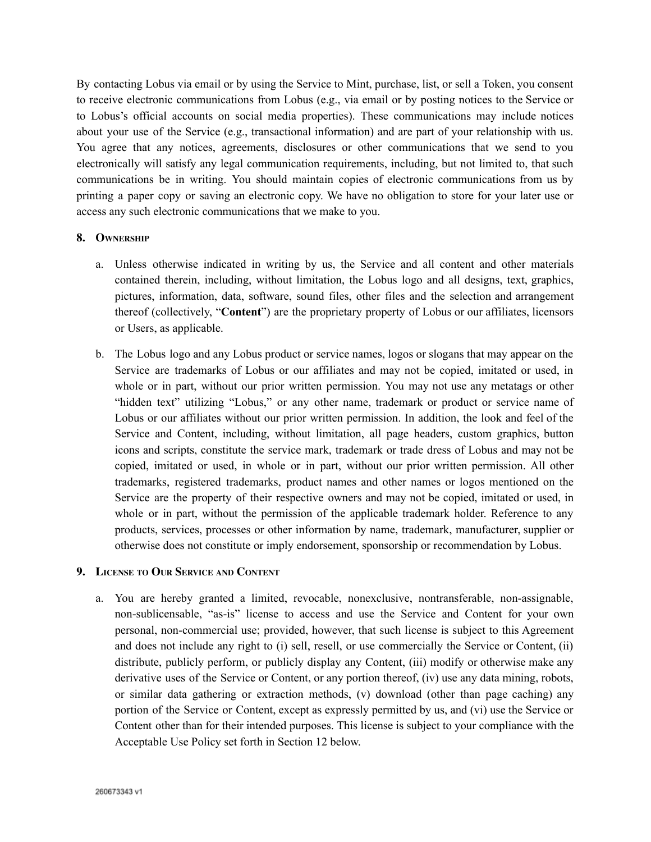By contacting Lobus via email or by using the Service to Mint, purchase, list, or sell a Token, you consent to receive electronic communications from Lobus (e.g., via email or by posting notices to the Service or to Lobus's official accounts on social media properties). These communications may include notices about your use of the Service (e.g., transactional information) and are part of your relationship with us. You agree that any notices, agreements, disclosures or other communications that we send to you electronically will satisfy any legal communication requirements, including, but not limited to, that such communications be in writing. You should maintain copies of electronic communications from us by printing a paper copy or saving an electronic copy. We have no obligation to store for your later use or access any such electronic communications that we make to you.

#### **8. OWNERSHIP**

- a. Unless otherwise indicated in writing by us, the Service and all content and other materials contained therein, including, without limitation, the Lobus logo and all designs, text, graphics, pictures, information, data, software, sound files, other files and the selection and arrangement thereof (collectively, "**Content**") are the proprietary property of Lobus or our affiliates, licensors or Users, as applicable.
- b. The Lobus logo and any Lobus product or service names, logos or slogans that may appear on the Service are trademarks of Lobus or our affiliates and may not be copied, imitated or used, in whole or in part, without our prior written permission. You may not use any metatags or other "hidden text" utilizing "Lobus," or any other name, trademark or product or service name of Lobus or our affiliates without our prior written permission. In addition, the look and feel of the Service and Content, including, without limitation, all page headers, custom graphics, button icons and scripts, constitute the service mark, trademark or trade dress of Lobus and may not be copied, imitated or used, in whole or in part, without our prior written permission. All other trademarks, registered trademarks, product names and other names or logos mentioned on the Service are the property of their respective owners and may not be copied, imitated or used, in whole or in part, without the permission of the applicable trademark holder. Reference to any products, services, processes or other information by name, trademark, manufacturer, supplier or otherwise does not constitute or imply endorsement, sponsorship or recommendation by Lobus.

#### **9. LICENSE TO OUR SERVICE AND CONTENT**

a. You are hereby granted a limited, revocable, nonexclusive, nontransferable, non-assignable, non-sublicensable, "as-is" license to access and use the Service and Content for your own personal, non-commercial use; provided, however, that such license is subject to this Agreement and does not include any right to (i) sell, resell, or use commercially the Service or Content, (ii) distribute, publicly perform, or publicly display any Content, (iii) modify or otherwise make any derivative uses of the Service or Content, or any portion thereof, (iv) use any data mining, robots, or similar data gathering or extraction methods, (v) download (other than page caching) any portion of the Service or Content, except as expressly permitted by us, and (vi) use the Service or Content other than for their intended purposes. This license is subject to your compliance with the Acceptable Use Policy set forth in Section 12 below.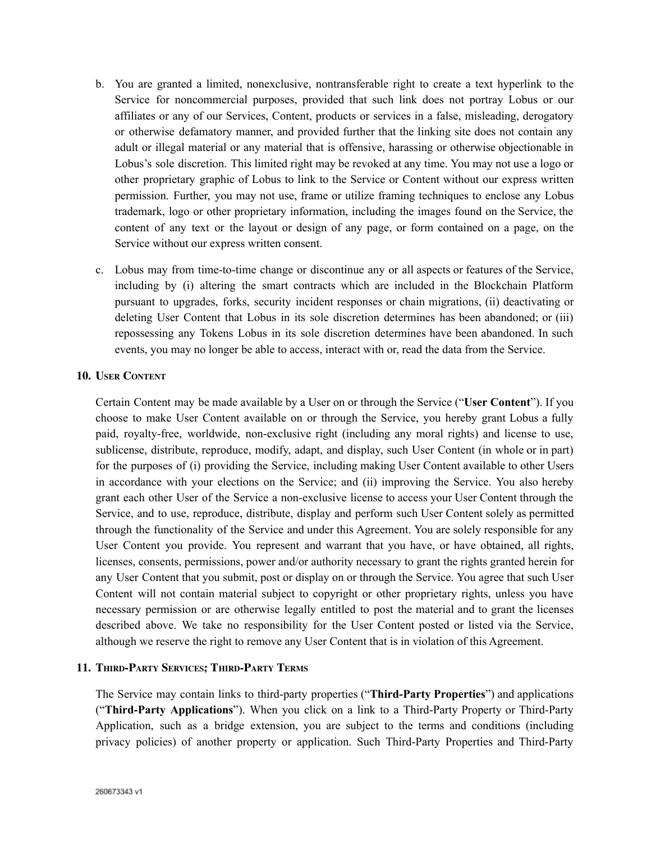- b. You are granted a limited, nonexclusive, nontransferable right to create a text hyperlink to the Service for noncommercial purposes, provided that such link does not portray Lobus or our affiliates or any of our Services, Content, products or services in a false, misleading, derogatory or otherwise defamatory manner, and provided further that the linking site does not contain any adult or illegal material or any material that is offensive, harassing or otherwise objectionable in Lobus's sole discretion. This limited right may be revoked at any time. You may not use a logo or other proprietary graphic of Lobus to link to the Service or Content without our express written permission. Further, you may not use, frame or utilize framing techniques to enclose any Lobus trademark, logo or other proprietary information, including the images found on the Service, the content of any text or the layout or design of any page, or form contained on a page, on the Service without our express written consent.
- c. Lobus may from time-to-time change or discontinue any or all aspects or features of the Service, including by (i) altering the smart contracts which are included in the Blockchain Platform pursuant to upgrades, forks, security incident responses or chain migrations, (ii) deactivating or deleting User Content that Lobus in its sole discretion determines has been abandoned; or (iii) repossessing any Tokens Lobus in its sole discretion determines have been abandoned. In such events, you may no longer be able to access, interact with or, read the data from the Service.

#### **10. USER CONTENT**

Certain Content may be made available by a User on or through the Service ("**User Content**"). If you choose to make User Content available on or through the Service, you hereby grant Lobus a fully paid, royalty-free, worldwide, non-exclusive right (including any moral rights) and license to use, sublicense, distribute, reproduce, modify, adapt, and display, such User Content (in whole or in part) for the purposes of (i) providing the Service, including making User Content available to other Users in accordance with your elections on the Service; and (ii) improving the Service. You also hereby grant each other User of the Service a non-exclusive license to access your User Content through the Service, and to use, reproduce, distribute, display and perform such User Content solely as permitted through the functionality of the Service and under this Agreement. You are solely responsible for any User Content you provide. You represent and warrant that you have, or have obtained, all rights, licenses, consents, permissions, power and/or authority necessary to grant the rights granted herein for any User Content that you submit, post or display on or through the Service. You agree that such User Content will not contain material subject to copyright or other proprietary rights, unless you have necessary permission or are otherwise legally entitled to post the material and to grant the licenses described above. We take no responsibility for the User Content posted or listed via the Service, although we reserve the right to remove any User Content that is in violation of this Agreement.

#### **11. THIRD-PARTY SERVICES; THIRD-PARTY TERMS**

The Service may contain links to third-party properties ("**Third-Party Properties**") and applications ("**Third-Party Applications**"). When you click on a link to a Third-Party Property or Third-Party Application, such as a bridge extension, you are subject to the terms and conditions (including privacy policies) of another property or application. Such Third-Party Properties and Third-Party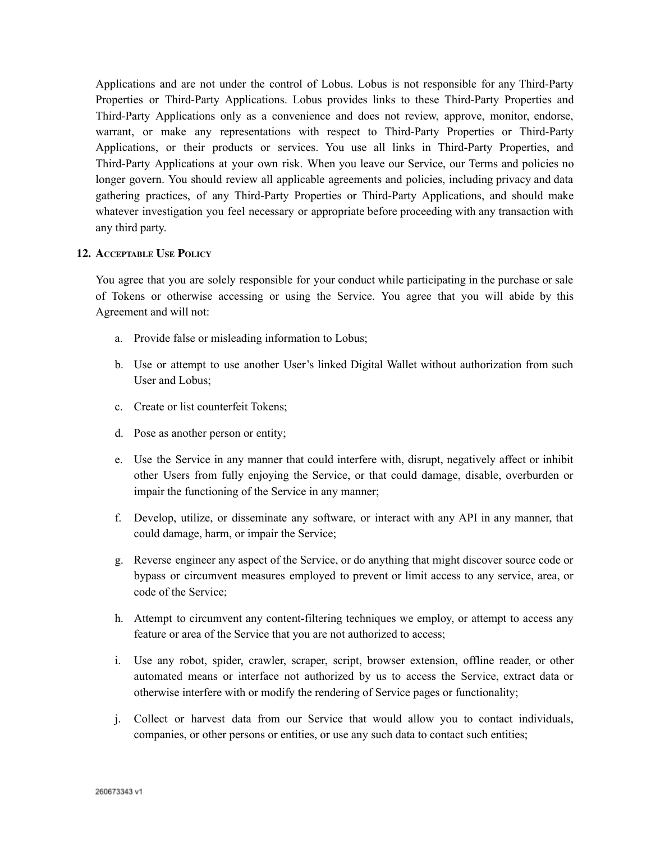Applications and are not under the control of Lobus. Lobus is not responsible for any Third-Party Properties or Third-Party Applications. Lobus provides links to these Third-Party Properties and Third-Party Applications only as a convenience and does not review, approve, monitor, endorse, warrant, or make any representations with respect to Third-Party Properties or Third-Party Applications, or their products or services. You use all links in Third-Party Properties, and Third-Party Applications at your own risk. When you leave our Service, our Terms and policies no longer govern. You should review all applicable agreements and policies, including privacy and data gathering practices, of any Third-Party Properties or Third-Party Applications, and should make whatever investigation you feel necessary or appropriate before proceeding with any transaction with any third party.

#### **12. ACCEPTABLE USE POLICY**

You agree that you are solely responsible for your conduct while participating in the purchase or sale of Tokens or otherwise accessing or using the Service. You agree that you will abide by this Agreement and will not:

- a. Provide false or misleading information to Lobus;
- b. Use or attempt to use another User's linked Digital Wallet without authorization from such User and Lobus;
- c. Create or list counterfeit Tokens;
- d. Pose as another person or entity;
- e. Use the Service in any manner that could interfere with, disrupt, negatively affect or inhibit other Users from fully enjoying the Service, or that could damage, disable, overburden or impair the functioning of the Service in any manner;
- f. Develop, utilize, or disseminate any software, or interact with any API in any manner, that could damage, harm, or impair the Service;
- g. Reverse engineer any aspect of the Service, or do anything that might discover source code or bypass or circumvent measures employed to prevent or limit access to any service, area, or code of the Service;
- h. Attempt to circumvent any content-filtering techniques we employ, or attempt to access any feature or area of the Service that you are not authorized to access;
- i. Use any robot, spider, crawler, scraper, script, browser extension, offline reader, or other automated means or interface not authorized by us to access the Service, extract data or otherwise interfere with or modify the rendering of Service pages or functionality;
- j. Collect or harvest data from our Service that would allow you to contact individuals, companies, or other persons or entities, or use any such data to contact such entities;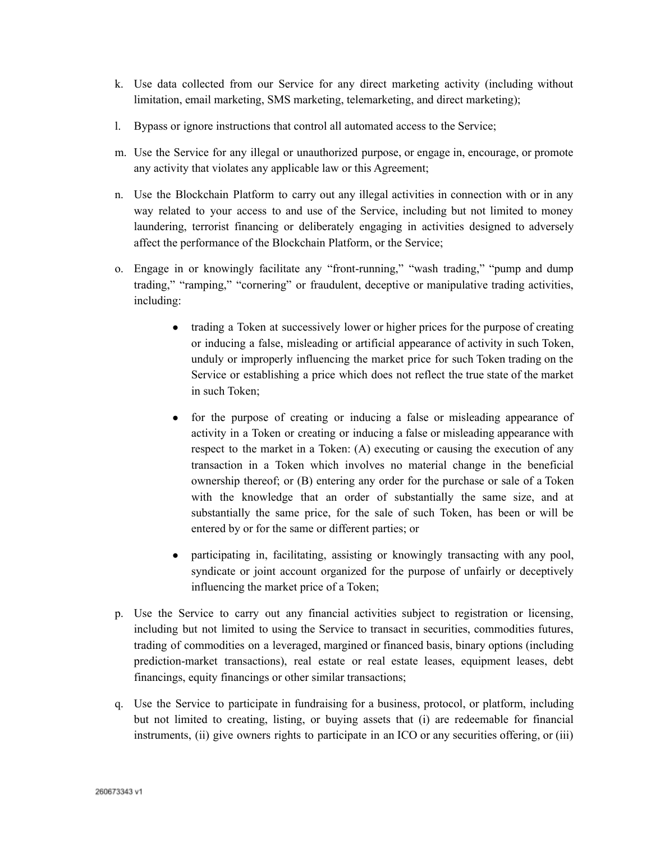- k. Use data collected from our Service for any direct marketing activity (including without limitation, email marketing, SMS marketing, telemarketing, and direct marketing);
- l. Bypass or ignore instructions that control all automated access to the Service;
- m. Use the Service for any illegal or unauthorized purpose, or engage in, encourage, or promote any activity that violates any applicable law or this Agreement;
- n. Use the Blockchain Platform to carry out any illegal activities in connection with or in any way related to your access to and use of the Service, including but not limited to money laundering, terrorist financing or deliberately engaging in activities designed to adversely affect the performance of the Blockchain Platform, or the Service;
- o. Engage in or knowingly facilitate any "front-running," "wash trading," "pump and dump trading," "ramping," "cornering" or fraudulent, deceptive or manipulative trading activities, including:
	- trading a Token at successively lower or higher prices for the purpose of creating or inducing a false, misleading or artificial appearance of activity in such Token, unduly or improperly influencing the market price for such Token trading on the Service or establishing a price which does not reflect the true state of the market in such Token;
	- for the purpose of creating or inducing a false or misleading appearance of activity in a Token or creating or inducing a false or misleading appearance with respect to the market in a Token: (A) executing or causing the execution of any transaction in a Token which involves no material change in the beneficial ownership thereof; or (B) entering any order for the purchase or sale of a Token with the knowledge that an order of substantially the same size, and at substantially the same price, for the sale of such Token, has been or will be entered by or for the same or different parties; or
	- participating in, facilitating, assisting or knowingly transacting with any pool, syndicate or joint account organized for the purpose of unfairly or deceptively influencing the market price of a Token;
- p. Use the Service to carry out any financial activities subject to registration or licensing, including but not limited to using the Service to transact in securities, commodities futures, trading of commodities on a leveraged, margined or financed basis, binary options (including prediction-market transactions), real estate or real estate leases, equipment leases, debt financings, equity financings or other similar transactions;
- q. Use the Service to participate in fundraising for a business, protocol, or platform, including but not limited to creating, listing, or buying assets that (i) are redeemable for financial instruments, (ii) give owners rights to participate in an ICO or any securities offering, or (iii)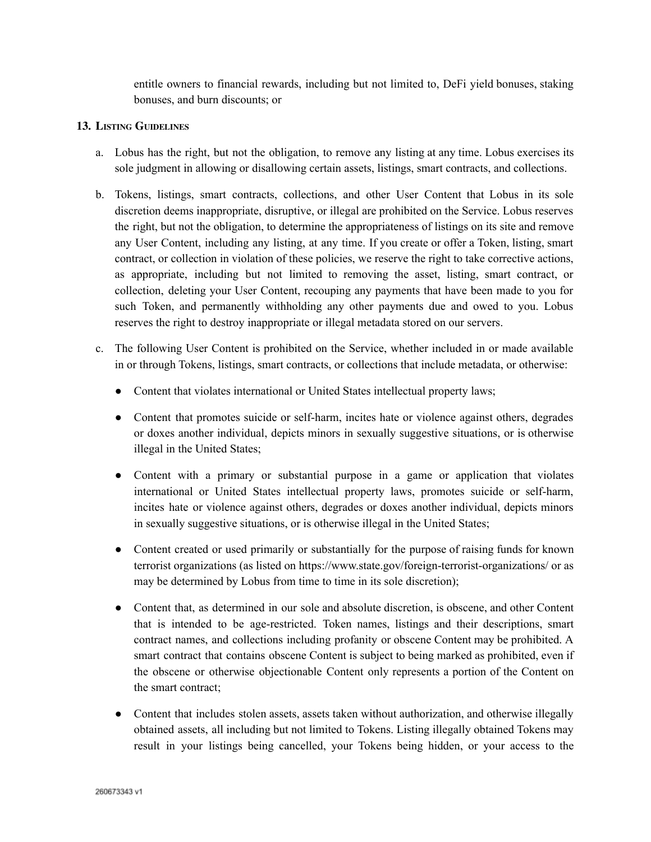entitle owners to financial rewards, including but not limited to, DeFi yield bonuses, staking bonuses, and burn discounts; or

### **13. LISTING GUIDELINES**

- a. Lobus has the right, but not the obligation, to remove any listing at any time. Lobus exercises its sole judgment in allowing or disallowing certain assets, listings, smart contracts, and collections.
- b. Tokens, listings, smart contracts, collections, and other User Content that Lobus in its sole discretion deems inappropriate, disruptive, or illegal are prohibited on the Service. Lobus reserves the right, but not the obligation, to determine the appropriateness of listings on its site and remove any User Content, including any listing, at any time. If you create or offer a Token, listing, smart contract, or collection in violation of these policies, we reserve the right to take corrective actions, as appropriate, including but not limited to removing the asset, listing, smart contract, or collection, deleting your User Content, recouping any payments that have been made to you for such Token, and permanently withholding any other payments due and owed to you. Lobus reserves the right to destroy inappropriate or illegal metadata stored on our servers.
- c. The following User Content is prohibited on the Service, whether included in or made available in or through Tokens, listings, smart contracts, or collections that include metadata, or otherwise:
	- Content that violates international or United States intellectual property laws;
	- Content that promotes suicide or self-harm, incites hate or violence against others, degrades or doxes another individual, depicts minors in sexually suggestive situations, or is otherwise illegal in the United States;
	- Content with a primary or substantial purpose in a game or application that violates international or United States intellectual property laws, promotes suicide or self-harm, incites hate or violence against others, degrades or doxes another individual, depicts minors in sexually suggestive situations, or is otherwise illegal in the United States;
	- Content created or used primarily or substantially for the purpose of raising funds for known terrorist organizations (as listed on <https://www.state.gov/foreign-terrorist-organizations/> or as may be determined by Lobus from time to time in its sole discretion);
	- Content that, as determined in our sole and absolute discretion, is obscene, and other Content that is intended to be age-restricted. Token names, listings and their descriptions, smart contract names, and collections including profanity or obscene Content may be prohibited. A smart contract that contains obscene Content is subject to being marked as prohibited, even if the obscene or otherwise objectionable Content only represents a portion of the Content on the smart contract;
	- Content that includes stolen assets, assets taken without authorization, and otherwise illegally obtained assets, all including but not limited to Tokens. Listing illegally obtained Tokens may result in your listings being cancelled, your Tokens being hidden, or your access to the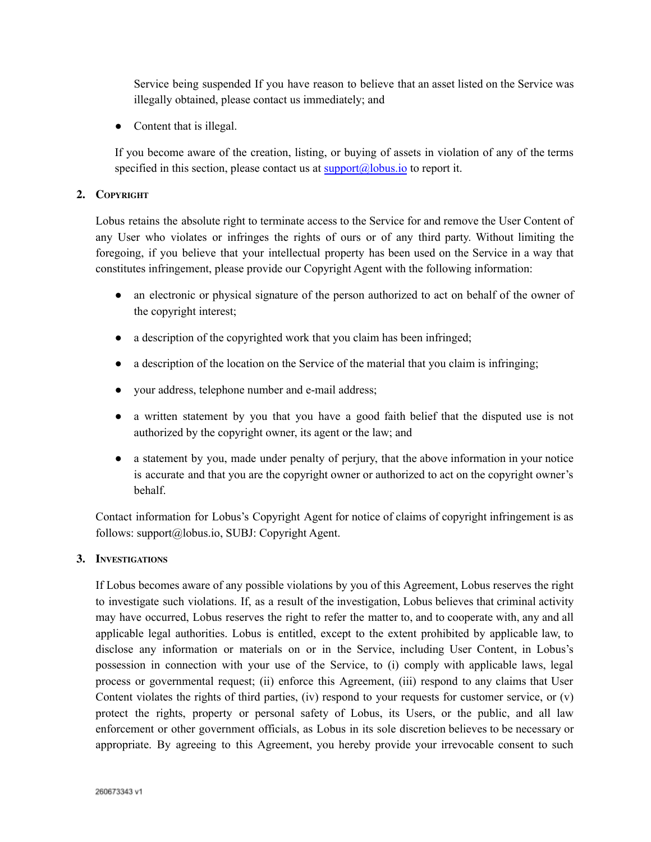Service being suspended If you have reason to believe that an asset listed on the Service was illegally obtained, please contact us immediately; and

• Content that is illegal.

If you become aware of the creation, listing, or buying of assets in violation of any of the terms specified in this section, please contact us at  $\frac{\text{support}(a)}{\text{plots}}$  to report it.

### **2. COPYRIGHT**

Lobus retains the absolute right to terminate access to the Service for and remove the User Content of any User who violates or infringes the rights of ours or of any third party. Without limiting the foregoing, if you believe that your intellectual property has been used on the Service in a way that constitutes infringement, please provide our Copyright Agent with the following information:

- an electronic or physical signature of the person authorized to act on behalf of the owner of the copyright interest;
- a description of the copyrighted work that you claim has been infringed;
- a description of the location on the Service of the material that you claim is infringing;
- your address, telephone number and e-mail address;
- a written statement by you that you have a good faith belief that the disputed use is not authorized by the copyright owner, its agent or the law; and
- a statement by you, made under penalty of perjury, that the above information in your notice is accurate and that you are the copyright owner or authorized to act on the copyright owner's behalf.

Contact information for Lobus's Copyright Agent for notice of claims of copyright infringement is as follows: support@lobus.io, SUBJ: Copyright Agent.

# **3. INVESTIGATIONS**

If Lobus becomes aware of any possible violations by you of this Agreement, Lobus reserves the right to investigate such violations. If, as a result of the investigation, Lobus believes that criminal activity may have occurred, Lobus reserves the right to refer the matter to, and to cooperate with, any and all applicable legal authorities. Lobus is entitled, except to the extent prohibited by applicable law, to disclose any information or materials on or in the Service, including User Content, in Lobus's possession in connection with your use of the Service, to (i) comply with applicable laws, legal process or governmental request; (ii) enforce this Agreement, (iii) respond to any claims that User Content violates the rights of third parties, (iv) respond to your requests for customer service, or  $(v)$ protect the rights, property or personal safety of Lobus, its Users, or the public, and all law enforcement or other government officials, as Lobus in its sole discretion believes to be necessary or appropriate. By agreeing to this Agreement, you hereby provide your irrevocable consent to such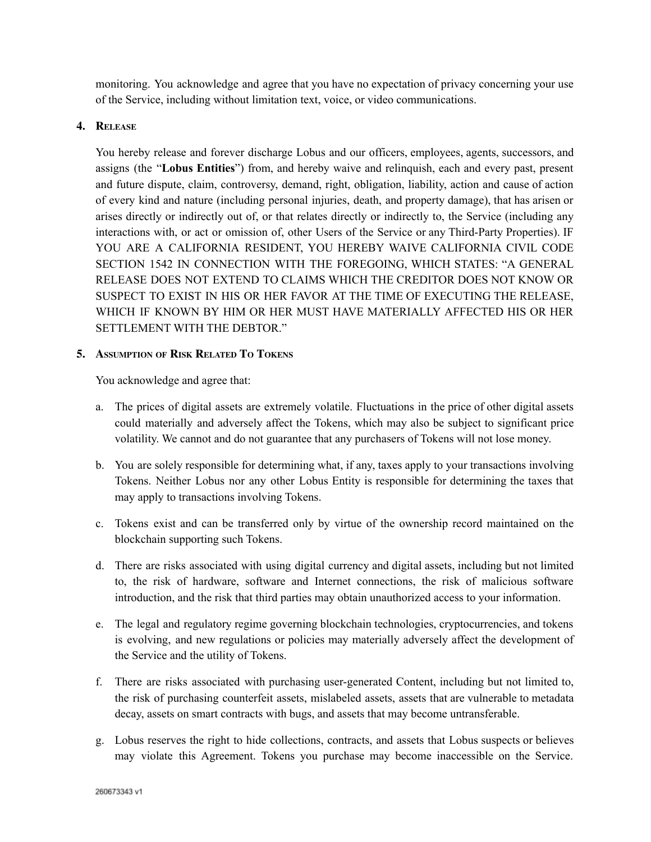monitoring. You acknowledge and agree that you have no expectation of privacy concerning your use of the Service, including without limitation text, voice, or video communications.

### **4. RELEASE**

You hereby release and forever discharge Lobus and our officers, employees, agents, successors, and assigns (the "**Lobus Entities**") from, and hereby waive and relinquish, each and every past, present and future dispute, claim, controversy, demand, right, obligation, liability, action and cause of action of every kind and nature (including personal injuries, death, and property damage), that has arisen or arises directly or indirectly out of, or that relates directly or indirectly to, the Service (including any interactions with, or act or omission of, other Users of the Service or any Third-Party Properties). IF YOU ARE A CALIFORNIA RESIDENT, YOU HEREBY WAIVE CALIFORNIA CIVIL CODE SECTION 1542 IN CONNECTION WITH THE FOREGOING, WHICH STATES: "A GENERAL RELEASE DOES NOT EXTEND TO CLAIMS WHICH THE CREDITOR DOES NOT KNOW OR SUSPECT TO EXIST IN HIS OR HER FAVOR AT THE TIME OF EXECUTING THE RELEASE, WHICH IF KNOWN BY HIM OR HER MUST HAVE MATERIALLY AFFECTED HIS OR HER SETTLEMENT WITH THE DEBTOR."

#### **5. ASSUMPTION OF RISK RELATED T<sup>O</sup> TOKENS**

You acknowledge and agree that:

- a. The prices of digital assets are extremely volatile. Fluctuations in the price of other digital assets could materially and adversely affect the Tokens, which may also be subject to significant price volatility. We cannot and do not guarantee that any purchasers of Tokens will not lose money.
- b. You are solely responsible for determining what, if any, taxes apply to your transactions involving Tokens. Neither Lobus nor any other Lobus Entity is responsible for determining the taxes that may apply to transactions involving Tokens.
- c. Tokens exist and can be transferred only by virtue of the ownership record maintained on the blockchain supporting such Tokens.
- d. There are risks associated with using digital currency and digital assets, including but not limited to, the risk of hardware, software and Internet connections, the risk of malicious software introduction, and the risk that third parties may obtain unauthorized access to your information.
- e. The legal and regulatory regime governing blockchain technologies, cryptocurrencies, and tokens is evolving, and new regulations or policies may materially adversely affect the development of the Service and the utility of Tokens.
- f. There are risks associated with purchasing user-generated Content, including but not limited to, the risk of purchasing counterfeit assets, mislabeled assets, assets that are vulnerable to metadata decay, assets on smart contracts with bugs, and assets that may become untransferable.
- g. Lobus reserves the right to hide collections, contracts, and assets that Lobus suspects or believes may violate this Agreement. Tokens you purchase may become inaccessible on the Service.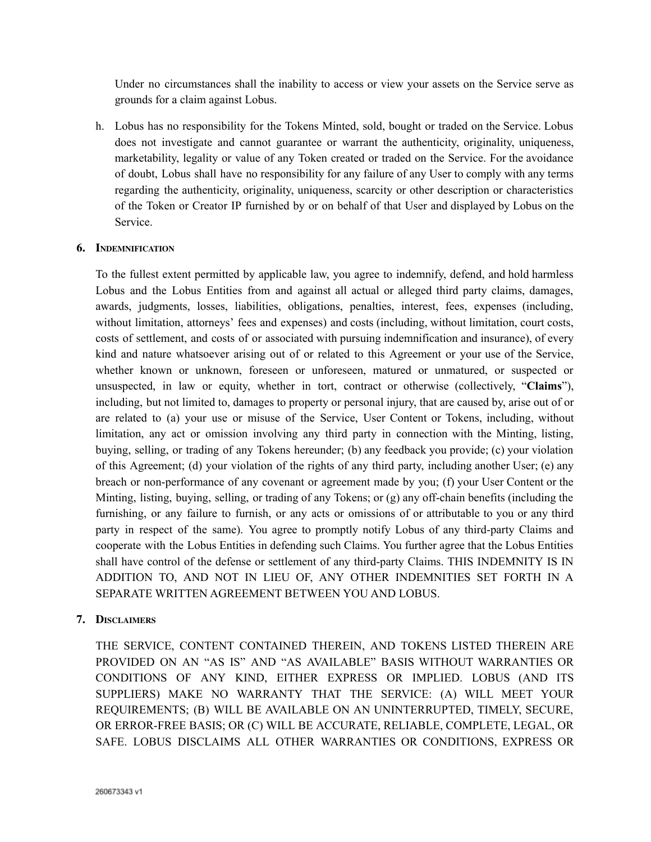Under no circumstances shall the inability to access or view your assets on the Service serve as grounds for a claim against Lobus.

h. Lobus has no responsibility for the Tokens Minted, sold, bought or traded on the Service. Lobus does not investigate and cannot guarantee or warrant the authenticity, originality, uniqueness, marketability, legality or value of any Token created or traded on the Service. For the avoidance of doubt, Lobus shall have no responsibility for any failure of any User to comply with any terms regarding the authenticity, originality, uniqueness, scarcity or other description or characteristics of the Token or Creator IP furnished by or on behalf of that User and displayed by Lobus on the Service.

#### **6. INDEMNIFICATION**

To the fullest extent permitted by applicable law, you agree to indemnify, defend, and hold harmless Lobus and the Lobus Entities from and against all actual or alleged third party claims, damages, awards, judgments, losses, liabilities, obligations, penalties, interest, fees, expenses (including, without limitation, attorneys' fees and expenses) and costs (including, without limitation, court costs, costs of settlement, and costs of or associated with pursuing indemnification and insurance), of every kind and nature whatsoever arising out of or related to this Agreement or your use of the Service, whether known or unknown, foreseen or unforeseen, matured or unmatured, or suspected or unsuspected, in law or equity, whether in tort, contract or otherwise (collectively, "**Claims**"), including, but not limited to, damages to property or personal injury, that are caused by, arise out of or are related to (a) your use or misuse of the Service, User Content or Tokens, including, without limitation, any act or omission involving any third party in connection with the Minting, listing, buying, selling, or trading of any Tokens hereunder; (b) any feedback you provide; (c) your violation of this Agreement; (d) your violation of the rights of any third party, including another User; (e) any breach or non-performance of any covenant or agreement made by you; (f) your User Content or the Minting, listing, buying, selling, or trading of any Tokens; or (g) any off-chain benefits (including the furnishing, or any failure to furnish, or any acts or omissions of or attributable to you or any third party in respect of the same). You agree to promptly notify Lobus of any third-party Claims and cooperate with the Lobus Entities in defending such Claims. You further agree that the Lobus Entities shall have control of the defense or settlement of any third-party Claims. THIS INDEMNITY IS IN ADDITION TO, AND NOT IN LIEU OF, ANY OTHER INDEMNITIES SET FORTH IN A SEPARATE WRITTEN AGREEMENT BETWEEN YOU AND LOBUS.

# **7. DISCLAIMERS**

THE SERVICE, CONTENT CONTAINED THEREIN, AND TOKENS LISTED THEREIN ARE PROVIDED ON AN "AS IS" AND "AS AVAILABLE" BASIS WITHOUT WARRANTIES OR CONDITIONS OF ANY KIND, EITHER EXPRESS OR IMPLIED. LOBUS (AND ITS SUPPLIERS) MAKE NO WARRANTY THAT THE SERVICE: (A) WILL MEET YOUR REQUIREMENTS; (B) WILL BE AVAILABLE ON AN UNINTERRUPTED, TIMELY, SECURE, OR ERROR-FREE BASIS; OR (C) WILL BE ACCURATE, RELIABLE, COMPLETE, LEGAL, OR SAFE. LOBUS DISCLAIMS ALL OTHER WARRANTIES OR CONDITIONS, EXPRESS OR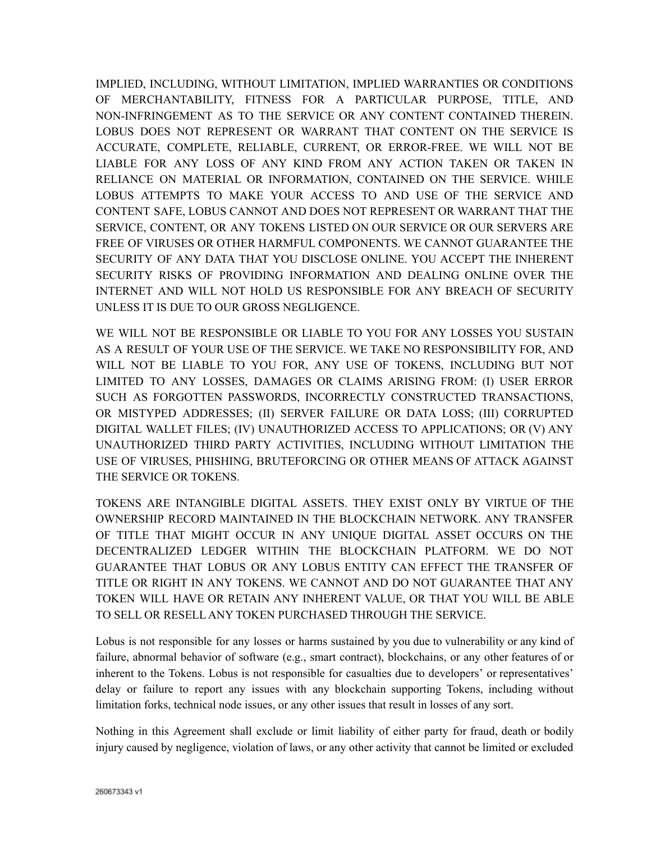IMPLIED, INCLUDING, WITHOUT LIMITATION, IMPLIED WARRANTIES OR CONDITIONS OF MERCHANTABILITY, FITNESS FOR A PARTICULAR PURPOSE, TITLE, AND NON-INFRINGEMENT AS TO THE SERVICE OR ANY CONTENT CONTAINED THEREIN. LOBUS DOES NOT REPRESENT OR WARRANT THAT CONTENT ON THE SERVICE IS ACCURATE, COMPLETE, RELIABLE, CURRENT, OR ERROR-FREE. WE WILL NOT BE LIABLE FOR ANY LOSS OF ANY KIND FROM ANY ACTION TAKEN OR TAKEN IN RELIANCE ON MATERIAL OR INFORMATION, CONTAINED ON THE SERVICE. WHILE LOBUS ATTEMPTS TO MAKE YOUR ACCESS TO AND USE OF THE SERVICE AND CONTENT SAFE, LOBUS CANNOT AND DOES NOT REPRESENT OR WARRANT THAT THE SERVICE, CONTENT, OR ANY TOKENS LISTED ON OUR SERVICE OR OUR SERVERS ARE FREE OF VIRUSES OR OTHER HARMFUL COMPONENTS. WE CANNOT GUARANTEE THE SECURITY OF ANY DATA THAT YOU DISCLOSE ONLINE. YOU ACCEPT THE INHERENT SECURITY RISKS OF PROVIDING INFORMATION AND DEALING ONLINE OVER THE INTERNET AND WILL NOT HOLD US RESPONSIBLE FOR ANY BREACH OF SECURITY UNLESS IT IS DUE TO OUR GROSS NEGLIGENCE.

WE WILL NOT BE RESPONSIBLE OR LIABLE TO YOU FOR ANY LOSSES YOU SUSTAIN AS A RESULT OF YOUR USE OF THE SERVICE. WE TAKE NO RESPONSIBILITY FOR, AND WILL NOT BE LIABLE TO YOU FOR, ANY USE OF TOKENS, INCLUDING BUT NOT LIMITED TO ANY LOSSES, DAMAGES OR CLAIMS ARISING FROM: (I) USER ERROR SUCH AS FORGOTTEN PASSWORDS, INCORRECTLY CONSTRUCTED TRANSACTIONS, OR MISTYPED ADDRESSES; (II) SERVER FAILURE OR DATA LOSS; (III) CORRUPTED DIGITAL WALLET FILES; (IV) UNAUTHORIZED ACCESS TO APPLICATIONS; OR (V) ANY UNAUTHORIZED THIRD PARTY ACTIVITIES, INCLUDING WITHOUT LIMITATION THE USE OF VIRUSES, PHISHING, BRUTEFORCING OR OTHER MEANS OF ATTACK AGAINST THE SERVICE OR TOKENS.

TOKENS ARE INTANGIBLE DIGITAL ASSETS. THEY EXIST ONLY BY VIRTUE OF THE OWNERSHIP RECORD MAINTAINED IN THE BLOCKCHAIN NETWORK. ANY TRANSFER OF TITLE THAT MIGHT OCCUR IN ANY UNIQUE DIGITAL ASSET OCCURS ON THE DECENTRALIZED LEDGER WITHIN THE BLOCKCHAIN PLATFORM. WE DO NOT GUARANTEE THAT LOBUS OR ANY LOBUS ENTITY CAN EFFECT THE TRANSFER OF TITLE OR RIGHT IN ANY TOKENS. WE CANNOT AND DO NOT GUARANTEE THAT ANY TOKEN WILL HAVE OR RETAIN ANY INHERENT VALUE, OR THAT YOU WILL BE ABLE TO SELL OR RESELL ANY TOKEN PURCHASED THROUGH THE SERVICE.

Lobus is not responsible for any losses or harms sustained by you due to vulnerability or any kind of failure, abnormal behavior of software (e.g., smart contract), blockchains, or any other features of or inherent to the Tokens. Lobus is not responsible for casualties due to developers' or representatives' delay or failure to report any issues with any blockchain supporting Tokens, including without limitation forks, technical node issues, or any other issues that result in losses of any sort.

Nothing in this Agreement shall exclude or limit liability of either party for fraud, death or bodily injury caused by negligence, violation of laws, or any other activity that cannot be limited or excluded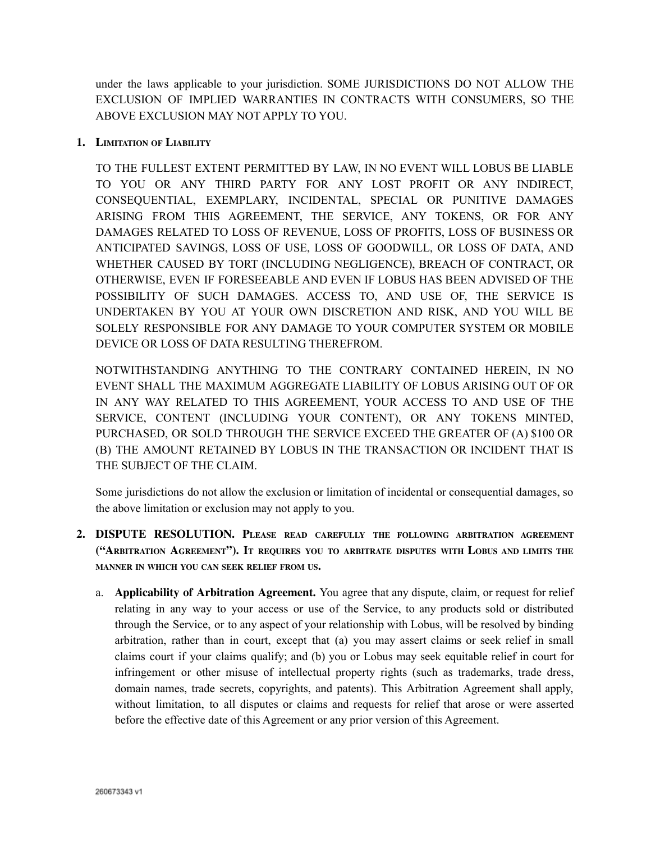under the laws applicable to your jurisdiction. SOME JURISDICTIONS DO NOT ALLOW THE EXCLUSION OF IMPLIED WARRANTIES IN CONTRACTS WITH CONSUMERS, SO THE ABOVE EXCLUSION MAY NOT APPLY TO YOU.

### **1. LIMITATION OF LIABILITY**

TO THE FULLEST EXTENT PERMITTED BY LAW, IN NO EVENT WILL LOBUS BE LIABLE TO YOU OR ANY THIRD PARTY FOR ANY LOST PROFIT OR ANY INDIRECT, CONSEQUENTIAL, EXEMPLARY, INCIDENTAL, SPECIAL OR PUNITIVE DAMAGES ARISING FROM THIS AGREEMENT, THE SERVICE, ANY TOKENS, OR FOR ANY DAMAGES RELATED TO LOSS OF REVENUE, LOSS OF PROFITS, LOSS OF BUSINESS OR ANTICIPATED SAVINGS, LOSS OF USE, LOSS OF GOODWILL, OR LOSS OF DATA, AND WHETHER CAUSED BY TORT (INCLUDING NEGLIGENCE), BREACH OF CONTRACT, OR OTHERWISE, EVEN IF FORESEEABLE AND EVEN IF LOBUS HAS BEEN ADVISED OF THE POSSIBILITY OF SUCH DAMAGES. ACCESS TO, AND USE OF, THE SERVICE IS UNDERTAKEN BY YOU AT YOUR OWN DISCRETION AND RISK, AND YOU WILL BE SOLELY RESPONSIBLE FOR ANY DAMAGE TO YOUR COMPUTER SYSTEM OR MOBILE DEVICE OR LOSS OF DATA RESULTING THEREFROM.

NOTWITHSTANDING ANYTHING TO THE CONTRARY CONTAINED HEREIN, IN NO EVENT SHALL THE MAXIMUM AGGREGATE LIABILITY OF LOBUS ARISING OUT OF OR IN ANY WAY RELATED TO THIS AGREEMENT, YOUR ACCESS TO AND USE OF THE SERVICE, CONTENT (INCLUDING YOUR CONTENT), OR ANY TOKENS MINTED, PURCHASED, OR SOLD THROUGH THE SERVICE EXCEED THE GREATER OF (A) \$100 OR (B) THE AMOUNT RETAINED BY LOBUS IN THE TRANSACTION OR INCIDENT THAT IS THE SUBJECT OF THE CLAIM.

Some jurisdictions do not allow the exclusion or limitation of incidental or consequential damages, so the above limitation or exclusion may not apply to you.

- **2. DISPUTE RESOLUTION. PLEASE READ CAREFULLY THE FOLLOWING ARBITRATION AGREEMENT ("ARBITRATION AGREEMENT"). I<sup>T</sup> REQUIRES YOU TO ARBITRATE DISPUTES WITH LOBUS AND LIMITS THE MANNER IN WHICH YOU CAN SEEK RELIEF FROM US.**
	- a. **Applicability of Arbitration Agreement.** You agree that any dispute, claim, or request for relief relating in any way to your access or use of the Service, to any products sold or distributed through the Service, or to any aspect of your relationship with Lobus, will be resolved by binding arbitration, rather than in court, except that (a) you may assert claims or seek relief in small claims court if your claims qualify; and (b) you or Lobus may seek equitable relief in court for infringement or other misuse of intellectual property rights (such as trademarks, trade dress, domain names, trade secrets, copyrights, and patents). This Arbitration Agreement shall apply, without limitation, to all disputes or claims and requests for relief that arose or were asserted before the effective date of this Agreement or any prior version of this Agreement.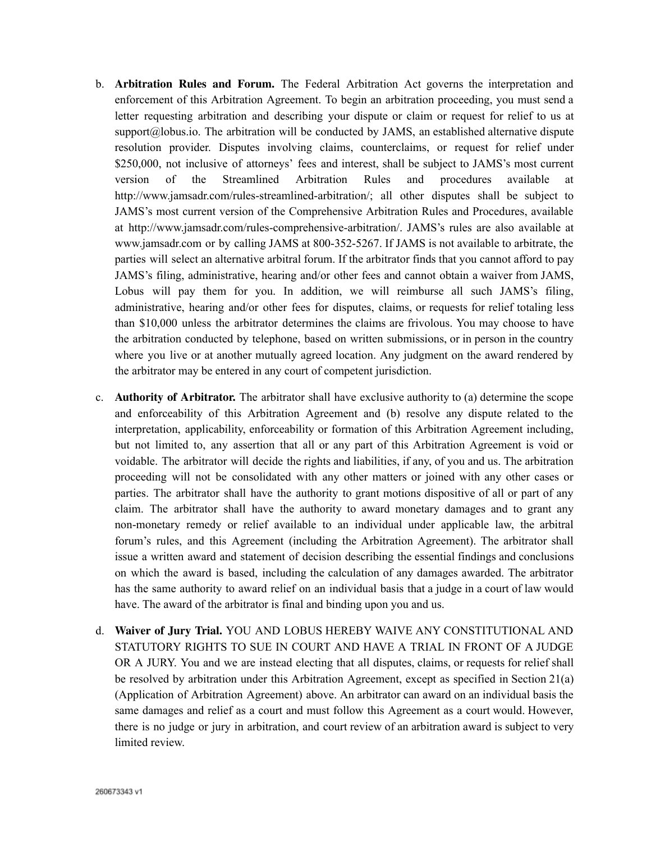- b. **Arbitration Rules and Forum.** The Federal Arbitration Act governs the interpretation and enforcement of this Arbitration Agreement. To begin an arbitration proceeding, you must send a letter requesting arbitration and describing your dispute or claim or request for relief to us at support $(a)$ lobus.io. The arbitration will be conducted by JAMS, an established alternative dispute resolution provider. Disputes involving claims, counterclaims, or request for relief under \$250,000, not inclusive of attorneys' fees and interest, shall be subject to JAMS's most current version of the Streamlined Arbitration Rules and procedures available at http://www.jamsadr.com/rules-streamlined-arbitration/; all other disputes shall be subject to JAMS's most current version of the Comprehensive Arbitration Rules and Procedures, available at http://www.jamsadr.com/rules-comprehensive-arbitration/. JAMS's rules are also available at www.jamsadr.com or by calling JAMS at 800-352-5267. If JAMS is not available to arbitrate, the parties will select an alternative arbitral forum. If the arbitrator finds that you cannot afford to pay JAMS's filing, administrative, hearing and/or other fees and cannot obtain a waiver from JAMS, Lobus will pay them for you. In addition, we will reimburse all such JAMS's filing, administrative, hearing and/or other fees for disputes, claims, or requests for relief totaling less than \$10,000 unless the arbitrator determines the claims are frivolous. You may choose to have the arbitration conducted by telephone, based on written submissions, or in person in the country where you live or at another mutually agreed location. Any judgment on the award rendered by the arbitrator may be entered in any court of competent jurisdiction.
- c. **Authority of Arbitrator.** The arbitrator shall have exclusive authority to (a) determine the scope and enforceability of this Arbitration Agreement and (b) resolve any dispute related to the interpretation, applicability, enforceability or formation of this Arbitration Agreement including, but not limited to, any assertion that all or any part of this Arbitration Agreement is void or voidable. The arbitrator will decide the rights and liabilities, if any, of you and us. The arbitration proceeding will not be consolidated with any other matters or joined with any other cases or parties. The arbitrator shall have the authority to grant motions dispositive of all or part of any claim. The arbitrator shall have the authority to award monetary damages and to grant any non-monetary remedy or relief available to an individual under applicable law, the arbitral forum's rules, and this Agreement (including the Arbitration Agreement). The arbitrator shall issue a written award and statement of decision describing the essential findings and conclusions on which the award is based, including the calculation of any damages awarded. The arbitrator has the same authority to award relief on an individual basis that a judge in a court of law would have. The award of the arbitrator is final and binding upon you and us.
- d. **Waiver of Jury Trial.** YOU AND LOBUS HEREBY WAIVE ANY CONSTITUTIONAL AND STATUTORY RIGHTS TO SUE IN COURT AND HAVE A TRIAL IN FRONT OF A JUDGE OR A JURY. You and we are instead electing that all disputes, claims, or requests for relief shall be resolved by arbitration under this Arbitration Agreement, except as specified in Section 21(a) (Application of Arbitration Agreement) above. An arbitrator can award on an individual basis the same damages and relief as a court and must follow this Agreement as a court would. However, there is no judge or jury in arbitration, and court review of an arbitration award is subject to very limited review.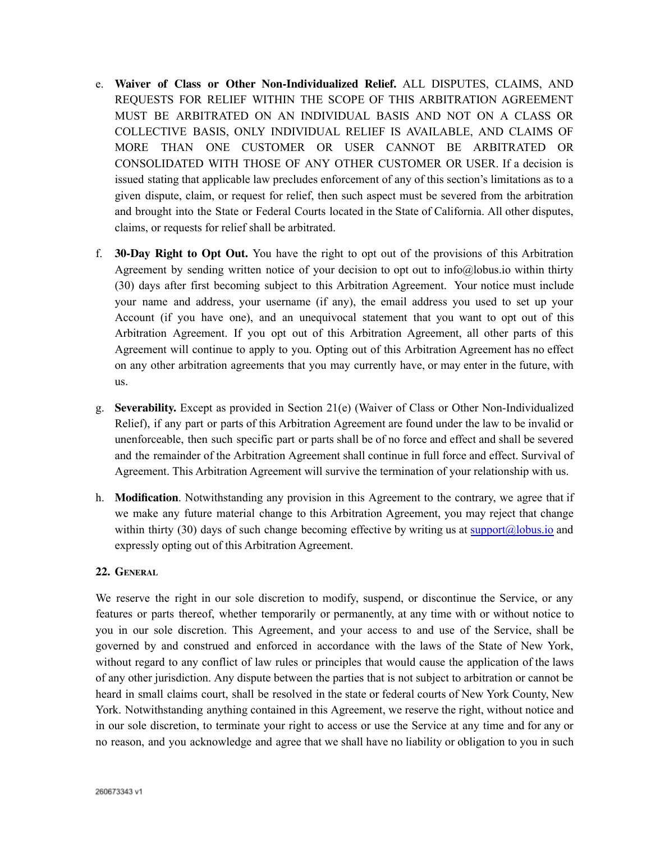- e. **Waiver of Class or Other Non-Individualized Relief.** ALL DISPUTES, CLAIMS, AND REQUESTS FOR RELIEF WITHIN THE SCOPE OF THIS ARBITRATION AGREEMENT MUST BE ARBITRATED ON AN INDIVIDUAL BASIS AND NOT ON A CLASS OR COLLECTIVE BASIS, ONLY INDIVIDUAL RELIEF IS AVAILABLE, AND CLAIMS OF MORE THAN ONE CUSTOMER OR USER CANNOT BE ARBITRATED OR CONSOLIDATED WITH THOSE OF ANY OTHER CUSTOMER OR USER. If a decision is issued stating that applicable law precludes enforcement of any of this section's limitations as to a given dispute, claim, or request for relief, then such aspect must be severed from the arbitration and brought into the State or Federal Courts located in the State of California. All other disputes, claims, or requests for relief shall be arbitrated.
- f. **30-Day Right to Opt Out.** You have the right to opt out of the provisions of this Arbitration Agreement by sending written notice of your decision to opt out to info@lobus.io within thirty (30) days after first becoming subject to this Arbitration Agreement. Your notice must include your name and address, your username (if any), the email address you used to set up your Account (if you have one), and an unequivocal statement that you want to opt out of this Arbitration Agreement. If you opt out of this Arbitration Agreement, all other parts of this Agreement will continue to apply to you. Opting out of this Arbitration Agreement has no effect on any other arbitration agreements that you may currently have, or may enter in the future, with us.
- g. **Severability.** Except as provided in Section 21(e) (Waiver of Class or Other Non-Individualized Relief), if any part or parts of this Arbitration Agreement are found under the law to be invalid or unenforceable, then such specific part or parts shall be of no force and effect and shall be severed and the remainder of the Arbitration Agreement shall continue in full force and effect. Survival of Agreement. This Arbitration Agreement will survive the termination of your relationship with us.
- h. **Modification**. Notwithstanding any provision in this Agreement to the contrary, we agree that if we make any future material change to this Arbitration Agreement, you may reject that change within thirty (30) days of such change becoming effective by writing us at support $\omega$ lobus.io and expressly opting out of this Arbitration Agreement.

#### **22. GENERAL**

We reserve the right in our sole discretion to modify, suspend, or discontinue the Service, or any features or parts thereof, whether temporarily or permanently, at any time with or without notice to you in our sole discretion. This Agreement, and your access to and use of the Service, shall be governed by and construed and enforced in accordance with the laws of the State of New York, without regard to any conflict of law rules or principles that would cause the application of the laws of any other jurisdiction. Any dispute between the parties that is not subject to arbitration or cannot be heard in small claims court, shall be resolved in the state or federal courts of New York County, New York. Notwithstanding anything contained in this Agreement, we reserve the right, without notice and in our sole discretion, to terminate your right to access or use the Service at any time and for any or no reason, and you acknowledge and agree that we shall have no liability or obligation to you in such